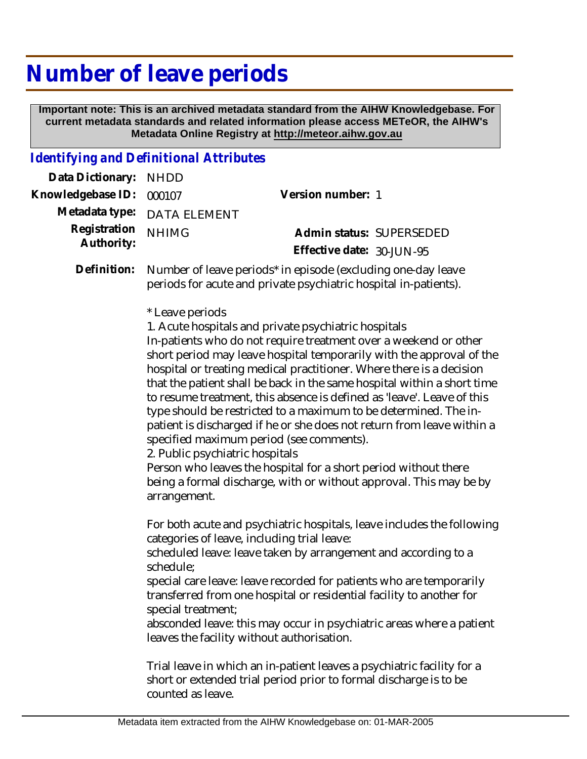## **Number of leave periods**

 **Important note: This is an archived metadata standard from the AIHW Knowledgebase. For current metadata standards and related information please access METeOR, the AIHW's Metadata Online Registry at http://meteor.aihw.gov.au**

## *Identifying and Definitional Attributes*

| Data Dictionary: NHDD    |                             |                              |  |
|--------------------------|-----------------------------|------------------------------|--|
| Knowledgebase ID: 000107 |                             | Version number: 1            |  |
|                          | Metadata type: DATA ELEMENT |                              |  |
| Registration             | <b>NHIMG</b>                | Admin status: SUPERSEDED     |  |
| Authority:               |                             | Effective date: $30$ -JUN-95 |  |
|                          |                             |                              |  |

Number of leave periods\* in episode (excluding one-day leave periods for acute and private psychiatric hospital in-patients). **Definition:**

\* Leave periods

1. Acute hospitals and private psychiatric hospitals In-patients who do not require treatment over a weekend or other short period may leave hospital temporarily with the approval of the hospital or treating medical practitioner. Where there is a decision that the patient shall be back in the same hospital within a short time to resume treatment, this absence is defined as 'leave'. Leave of this type should be restricted to a maximum to be determined. The inpatient is discharged if he or she does not return from leave within a specified maximum period (see comments).

2. Public psychiatric hospitals

Person who leaves the hospital for a short period without there being a formal discharge, with or without approval. This may be by arrangement.

For both acute and psychiatric hospitals, leave includes the following categories of leave, including trial leave:

scheduled leave: leave taken by arrangement and according to a schedule;

special care leave: leave recorded for patients who are temporarily transferred from one hospital or residential facility to another for special treatment;

absconded leave: this may occur in psychiatric areas where a patient leaves the facility without authorisation.

Trial leave in which an in-patient leaves a psychiatric facility for a short or extended trial period prior to formal discharge is to be counted as leave.